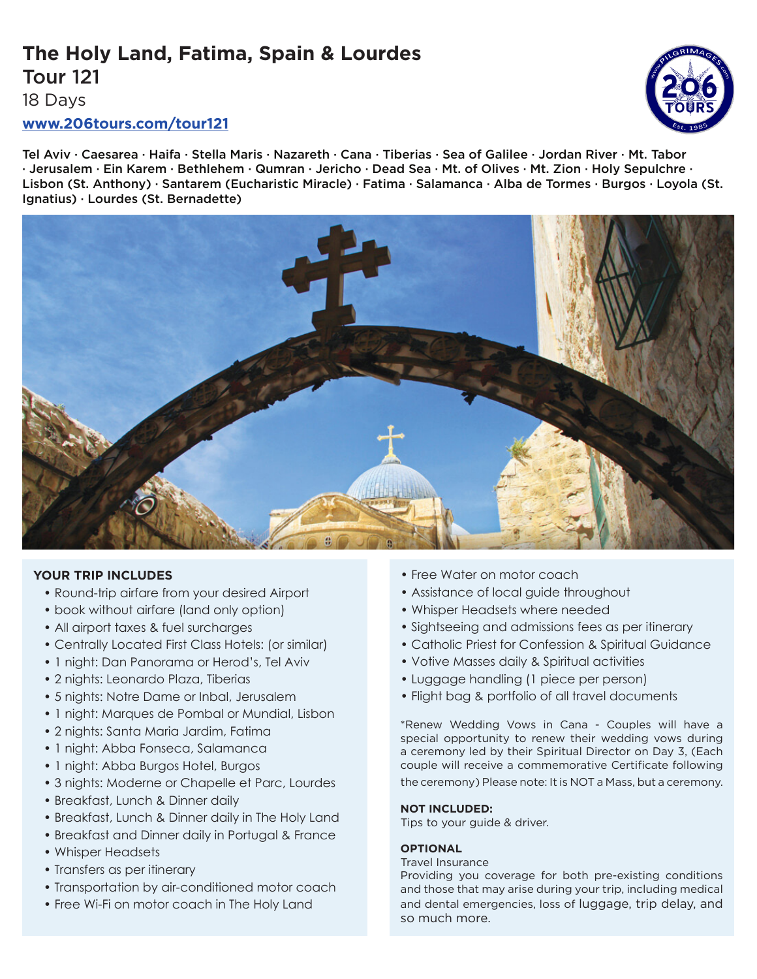# **The Holy Land, Fatima, Spain & Lourdes** Tour 121



18 Days

# **www.206tours.com/tour121**

Tel Aviv · Caesarea · Haifa · Stella Maris · Nazareth · Cana · Tiberias · Sea of Galilee · Jordan River · Mt. Tabor · Jerusalem · Ein Karem · Bethlehem · Qumran · Jericho · Dead Sea · Mt. of Olives · Mt. Zion · Holy Sepulchre · Lisbon (St. Anthony) · Santarem (Eucharistic Miracle) · Fatima · Salamanca · Alba de Tormes · Burgos · Loyola (St. Ignatius) · Lourdes (St. Bernadette)



# **YOUR TRIP INCLUDES**

- Round-trip airfare from your desired Airport
- book without airfare (land only option)
- All airport taxes & fuel surcharges
- Centrally Located First Class Hotels: (or similar)
- 1 night: Dan Panorama or Herod's, Tel Aviv
- 2 nights: Leonardo Plaza, Tiberias
- 5 nights: Notre Dame or Inbal, Jerusalem
- 1 night: Marques de Pombal or Mundial, Lisbon
- 2 nights: Santa Maria Jardim, Fatima
- 1 night: Abba Fonseca, Salamanca
- 1 night: Abba Burgos Hotel, Burgos
- 3 nights: Moderne or Chapelle et Parc, Lourdes
- Breakfast, Lunch & Dinner daily
- Breakfast, Lunch & Dinner daily in The Holy Land
- Breakfast and Dinner daily in Portugal & France
- Whisper Headsets
- Transfers as per itinerary
- Transportation by air-conditioned motor coach
- Free Wi-Fi on motor coach in The Holy Land
- Free Water on motor coach
- Assistance of local guide throughout
- Whisper Headsets where needed
- Sightseeing and admissions fees as per itinerary
- Catholic Priest for Confession & Spiritual Guidance
- Votive Masses daily & Spiritual activities
- Luggage handling (1 piece per person)
- Flight bag & portfolio of all travel documents

\*Renew Wedding Vows in Cana - Couples will have a special opportunity to renew their wedding vows during a ceremony led by their Spiritual Director on Day 3, (Each couple will receive a commemorative Certificate following the ceremony) Please note: It is NOT a Mass, but a ceremony.

## **NOT INCLUDED:**

Tips to your guide & driver.

## **OPTIONAL**

## Travel Insurance

Providing you coverage for both pre-existing conditions and those that may arise during your trip, including medical and dental emergencies, loss of luggage, trip delay, and so much more.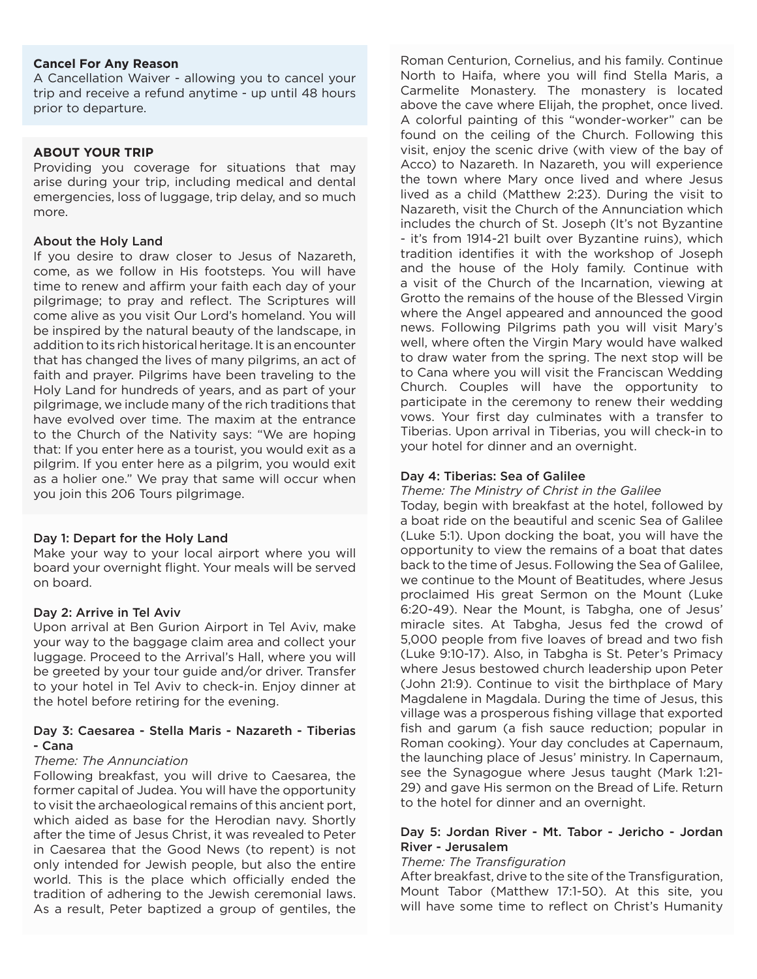# **Cancel For Any Reason**

A Cancellation Waiver - allowing you to cancel your trip and receive a refund anytime - up until 48 hours prior to departure.

#### **ABOUT YOUR TRIP**

Providing you coverage for situations that may arise during your trip, including medical and dental emergencies, loss of luggage, trip delay, and so much more.

#### About the Holy Land

If you desire to draw closer to Jesus of Nazareth, come, as we follow in His footsteps. You will have time to renew and affirm your faith each day of your pilgrimage; to pray and reflect. The Scriptures will come alive as you visit Our Lord's homeland. You will be inspired by the natural beauty of the landscape, in addition to its rich historical heritage. It is an encounter that has changed the lives of many pilgrims, an act of faith and prayer. Pilgrims have been traveling to the Holy Land for hundreds of years, and as part of your pilgrimage, we include many of the rich traditions that have evolved over time. The maxim at the entrance to the Church of the Nativity says: "We are hoping that: If you enter here as a tourist, you would exit as a pilgrim. If you enter here as a pilgrim, you would exit as a holier one." We pray that same will occur when you join this 206 Tours pilgrimage.

## Day 1: Depart for the Holy Land

Make your way to your local airport where you will board your overnight flight. Your meals will be served on board.

#### Day 2: Arrive in Tel Aviv

Upon arrival at Ben Gurion Airport in Tel Aviv, make your way to the baggage claim area and collect your luggage. Proceed to the Arrival's Hall, where you will be greeted by your tour guide and/or driver. Transfer to your hotel in Tel Aviv to check-in. Enjoy dinner at the hotel before retiring for the evening.

## Day 3: Caesarea - Stella Maris - Nazareth - Tiberias - Cana

#### *Theme: The Annunciation*

Following breakfast, you will drive to Caesarea, the former capital of Judea. You will have the opportunity to visit the archaeological remains of this ancient port, which aided as base for the Herodian navy. Shortly after the time of Jesus Christ, it was revealed to Peter in Caesarea that the Good News (to repent) is not only intended for Jewish people, but also the entire world. This is the place which officially ended the tradition of adhering to the Jewish ceremonial laws. As a result, Peter baptized a group of gentiles, the

Roman Centurion, Cornelius, and his family. Continue North to Haifa, where you will find Stella Maris, a Carmelite Monastery. The monastery is located above the cave where Elijah, the prophet, once lived. A colorful painting of this "wonder-worker" can be found on the ceiling of the Church. Following this visit, enjoy the scenic drive (with view of the bay of Acco) to Nazareth. In Nazareth, you will experience the town where Mary once lived and where Jesus lived as a child (Matthew 2:23). During the visit to Nazareth, visit the Church of the Annunciation which includes the church of St. Joseph (It's not Byzantine - it's from 1914-21 built over Byzantine ruins), which tradition identifies it with the workshop of Joseph and the house of the Holy family. Continue with a visit of the Church of the Incarnation, viewing at Grotto the remains of the house of the Blessed Virgin where the Angel appeared and announced the good news. Following Pilgrims path you will visit Mary's well, where often the Virgin Mary would have walked to draw water from the spring. The next stop will be to Cana where you will visit the Franciscan Wedding Church. Couples will have the opportunity to participate in the ceremony to renew their wedding vows. Your first day culminates with a transfer to Tiberias. Upon arrival in Tiberias, you will check-in to your hotel for dinner and an overnight.

#### Day 4: Tiberias: Sea of Galilee

*Theme: The Ministry of Christ in the Galilee*

Today, begin with breakfast at the hotel, followed by a boat ride on the beautiful and scenic Sea of Galilee (Luke 5:1). Upon docking the boat, you will have the opportunity to view the remains of a boat that dates back to the time of Jesus. Following the Sea of Galilee, we continue to the Mount of Beatitudes, where Jesus proclaimed His great Sermon on the Mount (Luke 6:20-49). Near the Mount, is Tabgha, one of Jesus' miracle sites. At Tabgha, Jesus fed the crowd of 5,000 people from five loaves of bread and two fish (Luke 9:10-17). Also, in Tabgha is St. Peter's Primacy where Jesus bestowed church leadership upon Peter (John 21:9). Continue to visit the birthplace of Mary Magdalene in Magdala. During the time of Jesus, this village was a prosperous fishing village that exported fish and garum (a fish sauce reduction; popular in Roman cooking). Your day concludes at Capernaum, the launching place of Jesus' ministry. In Capernaum, see the Synagogue where Jesus taught (Mark 1:21- 29) and gave His sermon on the Bread of Life. Return to the hotel for dinner and an overnight.

## Day 5: Jordan River - Mt. Tabor - Jericho - Jordan River - Jerusalem

#### *Theme: The Transfiguration*

After breakfast, drive to the site of the Transfiguration, Mount Tabor (Matthew 17:1-50). At this site, you will have some time to reflect on Christ's Humanity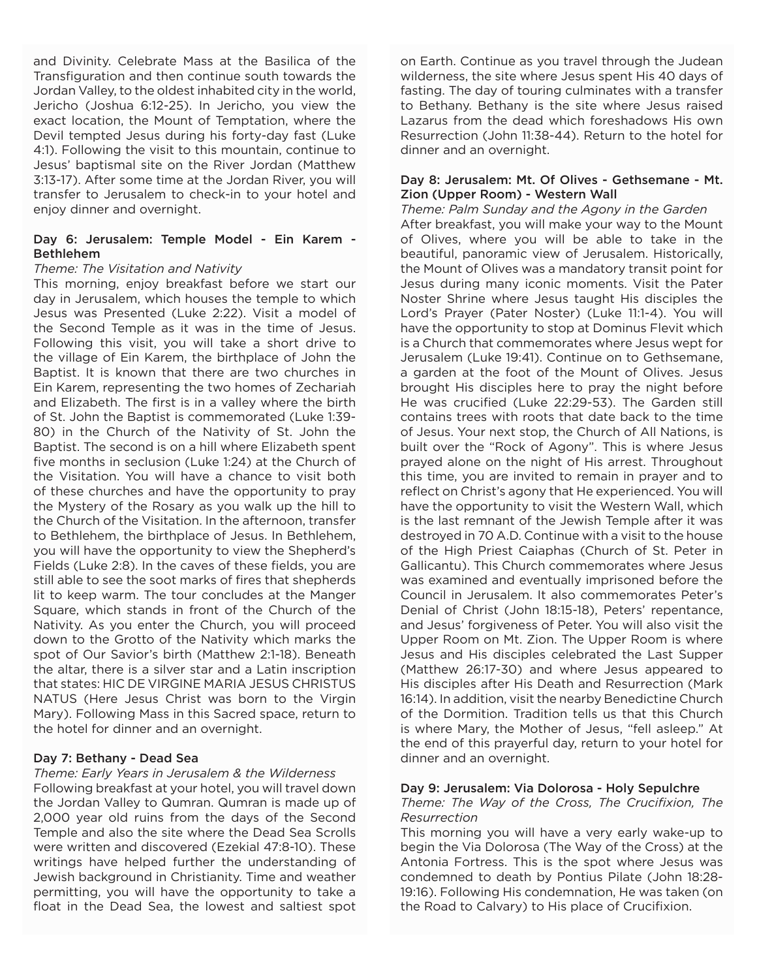and Divinity. Celebrate Mass at the Basilica of the Transfiguration and then continue south towards the Jordan Valley, to the oldest inhabited city in the world, Jericho (Joshua 6:12-25). In Jericho, you view the exact location, the Mount of Temptation, where the Devil tempted Jesus during his forty-day fast (Luke 4:1). Following the visit to this mountain, continue to Jesus' baptismal site on the River Jordan (Matthew 3:13-17). After some time at the Jordan River, you will transfer to Jerusalem to check-in to your hotel and enjoy dinner and overnight.

# Day 6: Jerusalem: Temple Model - Ein Karem - Bethlehem

# *Theme: The Visitation and Nativity*

This morning, enjoy breakfast before we start our day in Jerusalem, which houses the temple to which Jesus was Presented (Luke 2:22). Visit a model of the Second Temple as it was in the time of Jesus. Following this visit, you will take a short drive to the village of Ein Karem, the birthplace of John the Baptist. It is known that there are two churches in Ein Karem, representing the two homes of Zechariah and Elizabeth. The first is in a valley where the birth of St. John the Baptist is commemorated (Luke 1:39- 80) in the Church of the Nativity of St. John the Baptist. The second is on a hill where Elizabeth spent five months in seclusion (Luke 1:24) at the Church of the Visitation. You will have a chance to visit both of these churches and have the opportunity to pray the Mystery of the Rosary as you walk up the hill to the Church of the Visitation. In the afternoon, transfer to Bethlehem, the birthplace of Jesus. In Bethlehem, you will have the opportunity to view the Shepherd's Fields (Luke 2:8). In the caves of these fields, you are still able to see the soot marks of fires that shepherds lit to keep warm. The tour concludes at the Manger Square, which stands in front of the Church of the Nativity. As you enter the Church, you will proceed down to the Grotto of the Nativity which marks the spot of Our Savior's birth (Matthew 2:1-18). Beneath the altar, there is a silver star and a Latin inscription that states: HIC DE VIRGINE MARIA JESUS CHRISTUS NATUS (Here Jesus Christ was born to the Virgin Mary). Following Mass in this Sacred space, return to the hotel for dinner and an overnight.

# Day 7: Bethany - Dead Sea

*Theme: Early Years in Jerusalem & the Wilderness* Following breakfast at your hotel, you will travel down the Jordan Valley to Qumran. Qumran is made up of 2,000 year old ruins from the days of the Second Temple and also the site where the Dead Sea Scrolls were written and discovered (Ezekial 47:8-10). These writings have helped further the understanding of Jewish background in Christianity. Time and weather permitting, you will have the opportunity to take a float in the Dead Sea, the lowest and saltiest spot

on Earth. Continue as you travel through the Judean wilderness, the site where Jesus spent His 40 days of fasting. The day of touring culminates with a transfer to Bethany. Bethany is the site where Jesus raised Lazarus from the dead which foreshadows His own Resurrection (John 11:38-44). Return to the hotel for dinner and an overnight.

# Day 8: Jerusalem: Mt. Of Olives - Gethsemane - Mt. Zion (Upper Room) - Western Wall

*Theme: Palm Sunday and the Agony in the Garden* After breakfast, you will make your way to the Mount of Olives, where you will be able to take in the beautiful, panoramic view of Jerusalem. Historically, the Mount of Olives was a mandatory transit point for Jesus during many iconic moments. Visit the Pater Noster Shrine where Jesus taught His disciples the Lord's Prayer (Pater Noster) (Luke 11:1-4). You will have the opportunity to stop at Dominus Flevit which is a Church that commemorates where Jesus wept for Jerusalem (Luke 19:41). Continue on to Gethsemane, a garden at the foot of the Mount of Olives. Jesus brought His disciples here to pray the night before He was crucified (Luke 22:29-53). The Garden still contains trees with roots that date back to the time of Jesus. Your next stop, the Church of All Nations, is built over the "Rock of Agony". This is where Jesus prayed alone on the night of His arrest. Throughout this time, you are invited to remain in prayer and to reflect on Christ's agony that He experienced. You will have the opportunity to visit the Western Wall, which is the last remnant of the Jewish Temple after it was destroyed in 70 A.D. Continue with a visit to the house of the High Priest Caiaphas (Church of St. Peter in Gallicantu). This Church commemorates where Jesus was examined and eventually imprisoned before the Council in Jerusalem. It also commemorates Peter's Denial of Christ (John 18:15-18), Peters' repentance, and Jesus' forgiveness of Peter. You will also visit the Upper Room on Mt. Zion. The Upper Room is where Jesus and His disciples celebrated the Last Supper (Matthew 26:17-30) and where Jesus appeared to His disciples after His Death and Resurrection (Mark 16:14). In addition, visit the nearby Benedictine Church of the Dormition. Tradition tells us that this Church is where Mary, the Mother of Jesus, "fell asleep." At the end of this prayerful day, return to your hotel for dinner and an overnight.

# Day 9: Jerusalem: Via Dolorosa - Holy Sepulchre

# *Theme: The Way of the Cross, The Crucifixion, The Resurrection*

This morning you will have a very early wake-up to begin the Via Dolorosa (The Way of the Cross) at the Antonia Fortress. This is the spot where Jesus was condemned to death by Pontius Pilate (John 18:28- 19:16). Following His condemnation, He was taken (on the Road to Calvary) to His place of Crucifixion.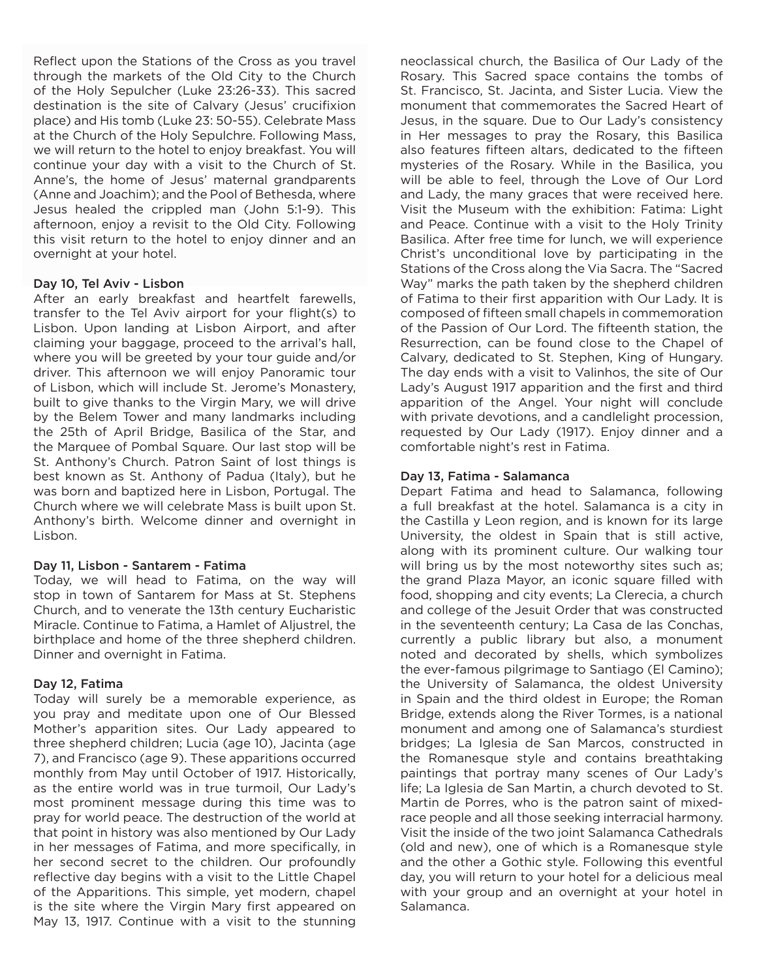Reflect upon the Stations of the Cross as you travel through the markets of the Old City to the Church of the Holy Sepulcher (Luke 23:26-33). This sacred destination is the site of Calvary (Jesus' crucifixion place) and His tomb (Luke 23: 50-55). Celebrate Mass at the Church of the Holy Sepulchre. Following Mass, we will return to the hotel to enjoy breakfast. You will continue your day with a visit to the Church of St. Anne's, the home of Jesus' maternal grandparents (Anne and Joachim); and the Pool of Bethesda, where Jesus healed the crippled man (John 5:1-9). This afternoon, enjoy a revisit to the Old City. Following this visit return to the hotel to enjoy dinner and an overnight at your hotel.

# Day 10, Tel Aviv - Lisbon

After an early breakfast and heartfelt farewells, transfer to the Tel Aviv airport for your flight(s) to Lisbon. Upon landing at Lisbon Airport, and after claiming your baggage, proceed to the arrival's hall, where you will be greeted by your tour guide and/or driver. This afternoon we will enjoy Panoramic tour of Lisbon, which will include St. Jerome's Monastery, built to give thanks to the Virgin Mary, we will drive by the Belem Tower and many landmarks including the 25th of April Bridge, Basilica of the Star, and the Marquee of Pombal Square. Our last stop will be St. Anthony's Church. Patron Saint of lost things is best known as St. Anthony of Padua (Italy), but he was born and baptized here in Lisbon, Portugal. The Church where we will celebrate Mass is built upon St. Anthony's birth. Welcome dinner and overnight in Lisbon.

## Day 11, Lisbon - Santarem - Fatima

Today, we will head to Fatima, on the way will stop in town of Santarem for Mass at St. Stephens Church, and to venerate the 13th century Eucharistic Miracle. Continue to Fatima, a Hamlet of Aljustrel, the birthplace and home of the three shepherd children. Dinner and overnight in Fatima.

# Day 12, Fatima

Today will surely be a memorable experience, as you pray and meditate upon one of Our Blessed Mother's apparition sites. Our Lady appeared to three shepherd children; Lucia (age 10), Jacinta (age 7), and Francisco (age 9). These apparitions occurred monthly from May until October of 1917. Historically, as the entire world was in true turmoil, Our Lady's most prominent message during this time was to pray for world peace. The destruction of the world at that point in history was also mentioned by Our Lady in her messages of Fatima, and more specifically, in her second secret to the children. Our profoundly reflective day begins with a visit to the Little Chapel of the Apparitions. This simple, yet modern, chapel is the site where the Virgin Mary first appeared on May 13, 1917. Continue with a visit to the stunning

neoclassical church, the Basilica of Our Lady of the Rosary. This Sacred space contains the tombs of St. Francisco, St. Jacinta, and Sister Lucia. View the monument that commemorates the Sacred Heart of Jesus, in the square. Due to Our Lady's consistency in Her messages to pray the Rosary, this Basilica also features fifteen altars, dedicated to the fifteen mysteries of the Rosary. While in the Basilica, you will be able to feel, through the Love of Our Lord and Lady, the many graces that were received here. Visit the Museum with the exhibition: Fatima: Light and Peace. Continue with a visit to the Holy Trinity Basilica. After free time for lunch, we will experience Christ's unconditional love by participating in the Stations of the Cross along the Via Sacra. The "Sacred Way" marks the path taken by the shepherd children of Fatima to their first apparition with Our Lady. It is composed of fifteen small chapels in commemoration of the Passion of Our Lord. The fifteenth station, the Resurrection, can be found close to the Chapel of Calvary, dedicated to St. Stephen, King of Hungary. The day ends with a visit to Valinhos, the site of Our Lady's August 1917 apparition and the first and third apparition of the Angel. Your night will conclude with private devotions, and a candlelight procession, requested by Our Lady (1917). Enjoy dinner and a comfortable night's rest in Fatima.

# Day 13, Fatima - Salamanca

Depart Fatima and head to Salamanca, following a full breakfast at the hotel. Salamanca is a city in the Castilla y Leon region, and is known for its large University, the oldest in Spain that is still active, along with its prominent culture. Our walking tour will bring us by the most noteworthy sites such as; the grand Plaza Mayor, an iconic square filled with food, shopping and city events; La Clerecia, a church and college of the Jesuit Order that was constructed in the seventeenth century; La Casa de las Conchas, currently a public library but also, a monument noted and decorated by shells, which symbolizes the ever-famous pilgrimage to Santiago (El Camino); the University of Salamanca, the oldest University in Spain and the third oldest in Europe; the Roman Bridge, extends along the River Tormes, is a national monument and among one of Salamanca's sturdiest bridges; La Iglesia de San Marcos, constructed in the Romanesque style and contains breathtaking paintings that portray many scenes of Our Lady's life; La Iglesia de San Martin, a church devoted to St. Martin de Porres, who is the patron saint of mixedrace people and all those seeking interracial harmony. Visit the inside of the two joint Salamanca Cathedrals (old and new), one of which is a Romanesque style and the other a Gothic style. Following this eventful day, you will return to your hotel for a delicious meal with your group and an overnight at your hotel in Salamanca.